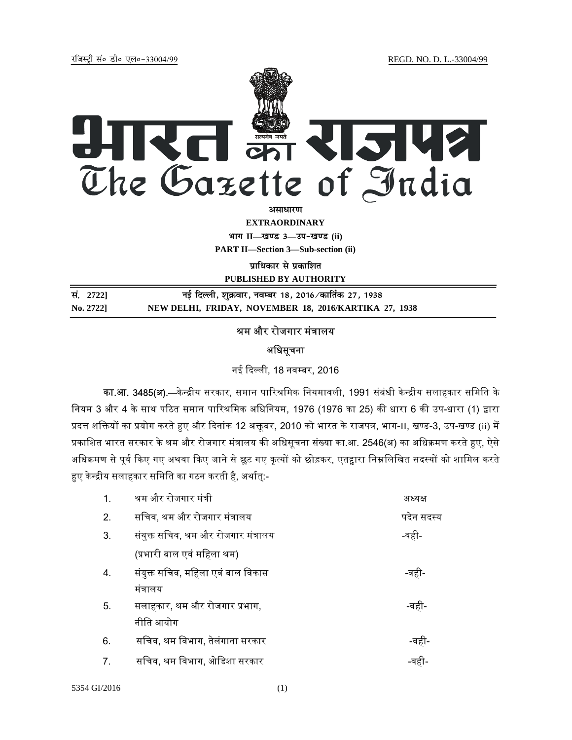jftLVªh laö Mhö ,yö&33004@99 REGD. NO. D. L.-33004/99



असाधार**ण** 

**EXTRAORDINARY**

**Hkkx II—[k.M 3—mi&[k.M (ii)**

**PART II—Section 3—Sub-section (ii)** 

**प्राधिकार से प्रकाशित** 

**PUBLISHED BY AUTHORITY**

| सं. 2722] | नई दिल्ली, शुक्रवार, नवम्बर 18, 2016 ∕ कार्तिक 27, 1938 |
|-----------|---------------------------------------------------------|
| No. 2722] | NEW DELHI, FRIDAY, NOVEMBER 18, 2016/KARTIKA 27, 1938   |

## श्रम और रोजगार मंत्रालय

## अधिसूचना

नई ᳰद᭨ली, 18 नव᭥बर, 2016

<mark>का.आ. 3485(अ).—</mark>केन्द्रीय सरकार, समान पारिश्रमिक नियमावली, 1991 संबंधी केन्द्रीय सलाहकार समिति के त्तियम 3 और 4 के साथ पठित समान पारिश्रमिक अधिनियम, 1976 (1976 का 25) की धारा 6 की उप-धारा (1) द्वारा प्रदत्त शक्तियों का प्रयोग करते हुए और दिनांक 12 अक्तूबर, 2010 को भारत के राजपत्र, भाग-II, खण्ड-3, उप-खण्ड (ii) में प्रकाशित भारत सरकार के श्रम और रोजगार मंत्रालय की अधिसूचना संख्या का.आ. 2546(अ) का अधिक्रमण करते हुए, ऐसे अधिक्रमण से पूर्व किए गए अथवा किए जाने से छूट गए कृत्यों को छोड़कर, एतद्वारा निम्नलिखित सदस्यों को शामिल करते हुए केन्द्रीय सलाहकार समिति का गठन करती है, अर्थात्:-

| $\mathbf 1$ | श्रम और रोजगार मंत्री                 | अध्यक्ष    |
|-------------|---------------------------------------|------------|
| 2.          | सचिव, श्रम और रोजगार मंत्रालय         | पदेन सदस्य |
| 3.          | संयुक्त सचिव, श्रम और रोजगार मंत्रालय | -वही-      |
|             | (प्रभारी बाल एवं महिला श्रम)          |            |
| 4.          | संयुक्त सचिव, महिला एवं बाल विकास     | -वही-      |
|             | मंत्रालय                              |            |
| 5.          | सलाहकार, श्रम और रोजगार प्रभाग,       | -वही-      |
|             | नीति आयोग                             |            |
| 6.          | सचिव, श्रम विभाग, तेलंगाना सरकार      | -वही-      |
| 7.          | सचिव, श्रम विभाग, ओडिशा सरकार         | -वहा       |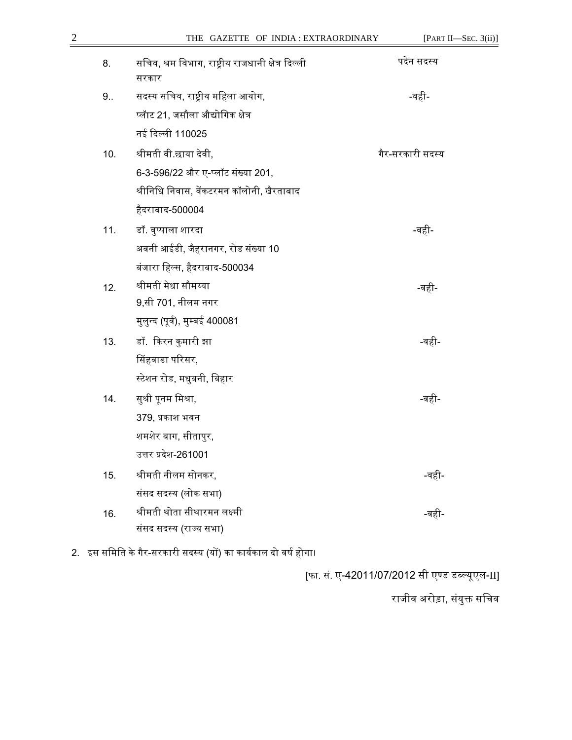| 8.  | सचिव, श्रम विभाग, राष्ट्रीय राजधानी क्षेत्र दिल्ली | पदेन सदस्य       |
|-----|----------------------------------------------------|------------------|
| 9.5 | सरकार<br>सदस्य सचिव, राष्ट्रीय महिला आयोग,         | -वही-            |
|     | प्लॅाट 21. जसौला औद्योगिक क्षेत्र                  |                  |
|     | नई दिल्ली 110025                                   |                  |
| 10. | श्रीमती वी.छाया देवी,                              | गैर-सरकारी सदस्य |
|     | 6-3-596/22 और ए-प्लॉट संख्या 201,                  |                  |
|     | श्रीनिधि निवास, वेंकटरमन कॉलोनी, खैरताबाद          |                  |
|     | हैदराबाद-500004                                    |                  |
| 11. | डॉ. वुप्पाला शारदा                                 | -वही-            |
|     | अवनी आईडी, जैहरानगर, रोड संख्या 10                 |                  |
|     | बंजारा हिल्स, हैदराबाद-500034                      |                  |
| 12. | श्रीमती मेधा सौमय्या                               | -वही             |
|     | 9,सी 701, नीलम नगर                                 |                  |
|     | मुलुन्द (पूर्व), मुम्बई 400081                     |                  |
| 13. | डॉ. किरन कुमारी झा                                 | -वहा             |
|     | सिंहवाडा परिसर,                                    |                  |
|     | स्टेशन रोड, मधुबनी, बिहार                          |                  |
| 14. | सुश्री पूनम मिश्रा,                                | -वही             |
|     | 379, प्रकाश भवन                                    |                  |
|     | शमशेर बाग, सीतापुर,                                |                  |
|     | उत्तर प्रदेश-261001                                |                  |
| 15. | श्रीमती नीलम सोनकर,                                | -वही-            |
|     | संसद सदस्य (लोक सभा)                               |                  |
| 16. | श्रीमती थोता सीथारमन लक्ष्मी                       | -वही             |
|     | संसद सदस्य (राज्य सभा)                             |                  |

2. इस समिति के गैर-सरकारी सदस्य (यों) का कार्यकाल दो वर्ष होगा।

[फा. सं. ए-42011/07/2012 सी एण्ड डब्ल्यूएल-II]

राजीव अरोड़ा, संयुक्त सच<mark>ि</mark>व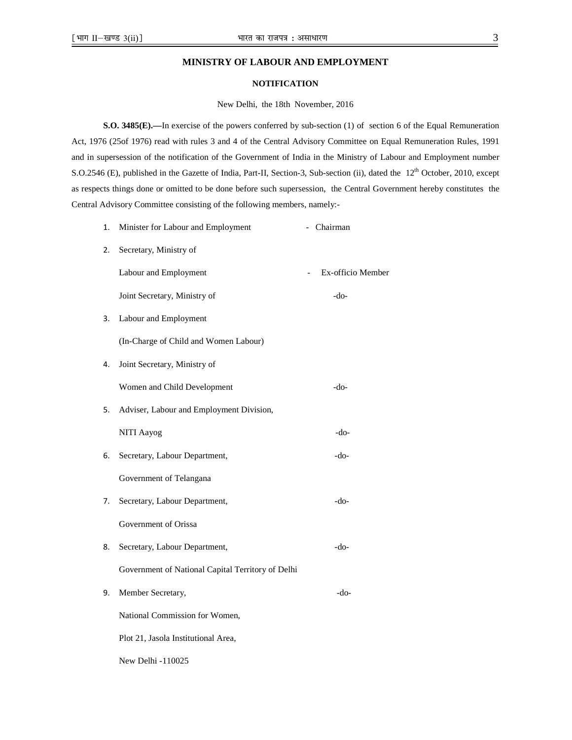## **MINISTRY OF LABOUR AND EMPLOYMENT**

## **NOTIFICATION**

New Delhi, the 18th November, 2016

**S.O. 3485(E).—In exercise of the powers conferred by sub-section (1) of section 6 of the Equal Remuneration** Act, 1976 (25of 1976) read with rules 3 and 4 of the Central Advisory Committee on Equal Remuneration Rules, 1991 and in supersession of the notification of the Government of India in the Ministry of Labour and Employment number S.O.2546 (E), published in the Gazette of India, Part-II, Section-3, Sub-section (ii), dated the 12<sup>th</sup> October, 2010, except as respects things done or omitted to be done before such supersession, the Central Government hereby constitutes the Central Advisory Committee consisting of the following members, namely:-

| 1. | Minister for Labour and Employment                | - Chairman        |
|----|---------------------------------------------------|-------------------|
| 2. | Secretary, Ministry of                            |                   |
|    | Labour and Employment                             | Ex-officio Member |
|    | Joint Secretary, Ministry of                      | $-do-$            |
| 3. | Labour and Employment                             |                   |
|    | (In-Charge of Child and Women Labour)             |                   |
| 4. | Joint Secretary, Ministry of                      |                   |
|    | Women and Child Development                       | $-do-$            |
| 5. | Adviser, Labour and Employment Division,          |                   |
|    | <b>NITI Aayog</b>                                 | $-do-$            |
| 6. | Secretary, Labour Department,                     | $-do-$            |
|    | Government of Telangana                           |                   |
| 7. | Secretary, Labour Department,                     | $-do-$            |
|    | Government of Orissa                              |                   |
| 8. | Secretary, Labour Department,                     | -do-              |
|    | Government of National Capital Territory of Delhi |                   |
| 9. | Member Secretary,                                 | $-do-$            |
|    | National Commission for Women,                    |                   |
|    | Plot 21, Jasola Institutional Area,               |                   |
|    |                                                   |                   |

New Delhi -110025